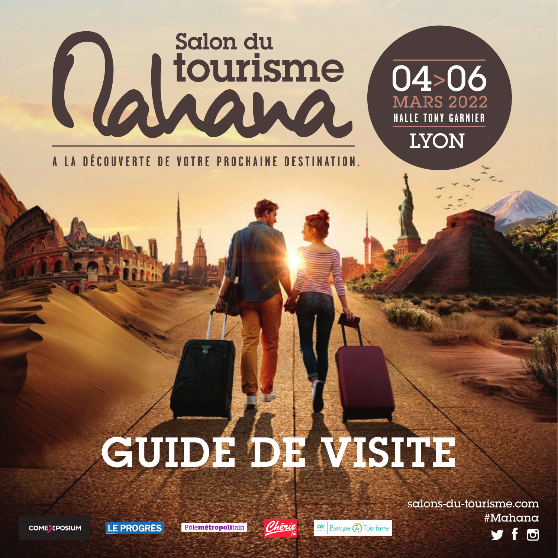# Calicurisme

**A LA DÉCOUVERTE DE VOTRE PROCHAINE DESTINATION.**

## GUIDE DE VISITE

salons-du-tourisme.com #Mahana f o

04>06

MARS 2022 **HALLE TONY GARNIER**

**LYON** 

**COME SPOSIUM** 

Pôlemétropolitain

LE PROGRES



Banque a Tourisme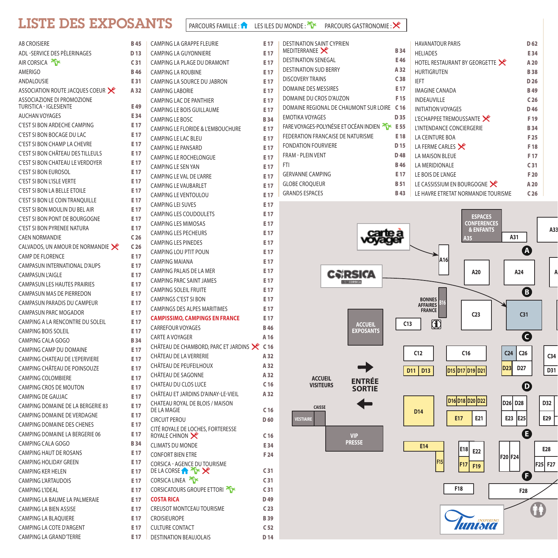#### LISTE DES EXPOSANTS

| AB CROISIERE                                         | <b>B45</b>      |
|------------------------------------------------------|-----------------|
| ADL -SERVICE DES PÈLERINAGES                         | D <sub>13</sub> |
| AIR CORSICA                                          | C <sub>31</sub> |
| AMERIGO                                              | <b>B46</b>      |
| ANDALOUSIE                                           | E31             |
| ASSOCIATION ROUTE JACQUES COEUR X                    | A 32            |
| ASSOCIAZIONE DI PROMOZIONE<br>TURISTICA - IGLESIENTE | E 49            |
| <b>AUCHAN VOYAGES</b>                                | E34             |
| C'EST SI BON ARDECHE CAMPING                         | E 17            |
| <b>C'EST SI BON BOCAGE DU LAC</b>                    | E 17            |
| C'EST SI BON CHAMP LA CHEVRE                         | E 17            |
| C'EST SI BON CHÂTEAU DES TILLEULS                    | E 17            |
| <b>C'EST SI BON CHATEAU LE VERDOYER</b>              | E 17            |
| <b>C'EST SI BON EUROSOL</b>                          | E 17            |
| <b>C'EST SI BON L'ISLE VERTE</b>                     | E 17            |
| C'EST SI BON LA BELLE ETOILE                         | E <sub>17</sub> |
| C'EST SI BON LE COIN TRANQUILLE                      | E 17            |
| C'EST SI BON MOULIN DU BEL AIR                       | E 17            |
| C'EST SI BON PONT DE BOURGOGNE                       | E 17            |
| C'EST SI BON PYRENEE NATURA                          | E 17            |
| <b>CAEN NORMANDIE</b>                                | C <sub>26</sub> |
| CALVADOS, UN AMOUR DE NORMANDIE                      | C <sub>26</sub> |
| <b>CAMP DE FLORENCE</b>                              | E 17            |
| CAMPASUN INTERNATIONAL D'AUPS                        | E 17            |
| <b>CAMPASUN L'AIGLE</b>                              | E 17            |
| <b>CAMPASUN LES HAUTES PRAIRIES</b>                  | E 17            |
| <b>CAMPASUN MAS DE PIERREDON</b>                     | E 17            |
| CAMPASUN PARADIS DU CAMPEUR                          | E 17            |
| CAMPASUN PARC MOGADOR                                | E 17            |
| CAMPING A LA RENCONTRE DU SOLEIL                     | E 17            |
| <b>CAMPING BOIS SOLEIL</b>                           | E 17            |
| CAMPING CALA GOGO                                    | <b>B34</b>      |
| CAMPING CAMP DU DOMAINE                              | E 17            |
| CAMPING CHATEAU DE L'EPERVIERE                       | E 17            |
| CAMPING CHÂTEAU DE POINSOUZE                         | E 17            |
| <b>CAMPING COLOMBIERE</b>                            | E 17            |
| <b>CAMPING CROS DE MOUTON</b>                        | E 17            |
| CAMPING DE GAUJAC                                    | E 17            |
| CAMPING DOMAINE DE LA BERGERIE 83                    | E 17            |
| CAMPING DOMAINE DE VERDAGNE                          | E 17            |
| <b>CAMPING DOMAINE DES CHENES</b>                    | E 17            |
| CAMPING DOMAINE LA BERGERIE 06                       | E 17            |
| CAMPING CALA GOGO                                    | <b>B34</b>      |
| <b>CAMPING HAUT DE ROSANS</b>                        | E 17            |
| CAMPING HOLIDAY GREEN                                | E 17            |
| CAMPING KER HELEN                                    | E 17            |
| <b>CAMPING L'ARTAUDOIS</b>                           | E 17            |
| <b>CAMPING L'IDEAL</b>                               | E <sub>17</sub> |
| CAMPING LA BAUME LA PALMERAIE                        | E 17            |
| CAMPING LA BIEN ASSISE                               | E <sub>17</sub> |
| <b>CAMPING LA BLAQUIERE</b>                          | E 17            |
| CAMPING LA COTE D'ARGENT                             | E 17            |
| CAMPING LA GRAND'TERRE                               | E 17            |

|   | CAMPING LA GRAPPE FLEURIE                          | E 17            |
|---|----------------------------------------------------|-----------------|
|   | CAMPING LA GUYONNIERE                              | E 17            |
|   | CAMPING LA PLAGE DU DRAMONT                        | E 17            |
|   | <b>CAMPING LA ROUBINE</b>                          | E 17            |
|   | CAMPING LA SOURCE DU JABRON                        | E 17            |
|   | <b>CAMPING LABORIE</b>                             | E 17            |
|   | <b>CAMPING LAC DE PANTHIER</b>                     | E 17            |
|   | <b>CAMPING LE BOIS GUILLAUME</b>                   | E 17            |
|   | <b>CAMPING LE BOSC</b>                             | <b>B34</b>      |
|   | CAMPING LE FLORIDE & L'EMBOUCHURE                  | E 17            |
|   | <b>CAMPING LE LAC BLEU</b>                         | E 17            |
|   | <b>CAMPING LE PANSARD</b>                          | E 17            |
|   | <b>CAMPING LE ROCHELONGUE</b>                      | E 17            |
|   | <b>CAMPING LE SEN YAN</b>                          | E 17            |
|   | CAMPING LE VAL DE L'ARRE                           | E 17            |
|   | <b>CAMPING LE VAUBARLET</b>                        | E 17            |
|   | <b>CAMPING LE VENTOULOU</b>                        | E 17            |
|   | <b>CAMPING LEI SUVES</b>                           | E 17            |
|   | <b>CAMPING LES COUDOULETS</b>                      | E 17            |
|   | <b>CAMPING LES MIMOSAS</b>                         | E 17            |
|   | <b>CAMPING LES PECHEURS</b>                        | E 17            |
|   | <b>CAMPING LES PINEDES</b>                         | E 17            |
|   | <b>CAMPING LOU PTIT POUN</b>                       | E 17            |
|   | <b>CAMPING MAIANA</b>                              | E 17            |
|   | CAMPING PALAIS DE LA MER                           | E 17            |
|   | CAMPING PARC SAINT JAMES                           | E 17            |
|   | <b>CAMPING SOLEIL FRUITE</b>                       | E 17            |
|   | <b>CAMPINGS C'EST SI BON</b>                       | E 17            |
|   | <b>CAMPINGS DES ALPES MARITIMES</b>                | E 17            |
|   | <b>CAMPISSIMO, CAMPINGS EN FRANCE</b>              | E 17            |
|   | <b>CARREFOUR VOYAGES</b>                           | <b>B</b> 46     |
|   | <b>CARTE A VOYAGER</b>                             | A 16            |
|   | CHÂTEAU DE CHAMBORD, PARC ET JARDINS               | C <sub>16</sub> |
|   | CHÂTEAU DE LA VERRERIE                             | A 32            |
|   | CHÂTEAU DE PEUFEILHOUX                             | A 32            |
|   | CHÂTEAU DE SAGONNE                                 | A 32            |
|   | CHATEAU DU CLOS LUCE                               | C <sub>16</sub> |
|   | CHÂTEAU ET JARDINS D'AINAY-LE-VIEIL                | A 32            |
|   | CHATEAU ROYAL DE BLOIS / MAISON                    |                 |
|   | DE LA MAGIE                                        | C <sub>16</sub> |
|   | <b>CIRCUIT PEROU</b>                               | D 60            |
|   | CITÉ ROYALE DE LOCHES, FORTERESSE<br>ROYALE CHINON | C <sub>16</sub> |
|   | <b>CLIMATS DU MONDE</b>                            | E34             |
|   | <b>CONFORT BIEN ETRE</b>                           | F 24            |
|   | CORSICA - AGENCE DU TOURISME                       |                 |
|   | DE LA CORSE <sup>1</sup> <sup>2</sup> <sup>2</sup> | C <sub>31</sub> |
| l | <b>CORSICA LINEA</b> T                             | C <sub>31</sub> |
| l | CORSICATOURS GROUPE ETTORI                         | C <sub>31</sub> |
| ľ | <b>COSTA RICA</b>                                  | D49             |
| l | <b>CREUSOT MONTCEAU TOURISME</b>                   | C <sub>23</sub> |
| ľ | <b>CROISIEUROPE</b>                                | <b>B39</b>      |
|   | <b>CULTURE CONTACT</b>                             | C <sub>52</sub> |
|   | <b>DESTINATION BEAUJOLAIS</b>                      | D <sub>14</sub> |

| <b>DESTINATION SAINT CYPRIEN</b>             |                 | <b>HAVANATOUR PARIS</b>             | D <sub>62</sub> |
|----------------------------------------------|-----------------|-------------------------------------|-----------------|
| MEDITERRANEE X                               | <b>B34</b>      | <b>HELIADES</b>                     | E 34            |
| <b>DESTINATION SENEGAL</b>                   | E 46            | HOTEL RESTAURANT BY GEORGETTE       | A 20            |
| <b>DESTINATION SUD BERRY</b>                 | A 32            | <b>HURTIGRUTEN</b>                  | <b>B38</b>      |
| <b>DISCOVERY TRAINS</b>                      | C <sub>38</sub> | <b>IEFT</b>                         | D <sub>26</sub> |
| DOMAINE DES MESSIRES                         | E 17            | IMAGINE CANADA                      | <b>B49</b>      |
| DOMAINE DU CROS D'AUZON                      | F 15            | <b>INDEAUVILLE</b>                  | C <sub>26</sub> |
| DOMAINE REGIONAL DE CHAUMONT SUR LOIRE C 16  |                 | <b>INITIATION VOYAGES</b>           | D 46            |
| <b>EMOTIKA VOYAGES</b>                       | D 35            | L'ECHAPPEE TREMOUSSANTE             | F 19            |
| FARE VOYAGES-POLYNÉSIE ET OCÉAN INDIEN TE 55 |                 | L'INTENDANCE CONCIERGERIE           | <b>B34</b>      |
| FEDERATION FRANCAISE DE NATURISME            | E 18            | LA CEINTURE BOA                     | F 25            |
| <b>FONDATION FOURVIERE</b>                   | D <sub>15</sub> | LA FERME CARLES                     | F 18            |
| <b>FRAM - PLEIN VENT</b>                     | D 48            | LA MAISON BLEUE                     | F <sub>17</sub> |
| <b>FTI</b>                                   | <b>B46</b>      | LA MERIDIONALE                      | C <sub>31</sub> |
| <b>GERVANNE CAMPING</b>                      | E 17            | LE BOIS DE L'ANGE                   | F 20            |
| <b>GLOBE CROOUEUR</b>                        | <b>B</b> 51     | LE CASSISSIUM EN BOURGOGNE          | A 20            |
| <b>GRANDS ESPACES</b>                        | <b>B</b> 43     | LE HAVRE ETRETAT NORMANDIE TOURISME | C <sub>26</sub> |

PARCOURS FAMILLE :  $\blacksquare$  LES ILES DU MONDE :  $\mathcal{R}$  PARCOURS GASTRONOMIE :  $\mathcal{K}$ 

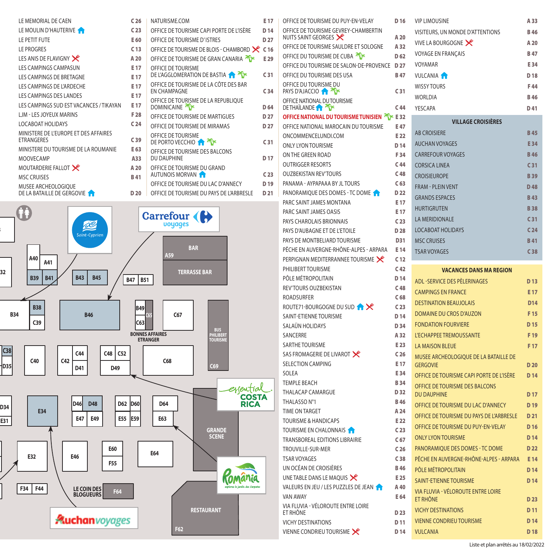| LE MEMORIAL DE CAEN                                 | C <sub>26</sub> | NATURISME.COM                                                | E 17            |
|-----------------------------------------------------|-----------------|--------------------------------------------------------------|-----------------|
| LE MOULIN D'HAUTERIVE                               | C <sub>23</sub> | OFFICE DE TOURISME CAPI PORTE DE L'ISÈRE                     | D <sub>14</sub> |
| LE PETIT FUTE                                       | E 60            | OFFICE DE TOURISME D'ISTRES                                  | D <sub>27</sub> |
| <b>LE PROGRES</b>                                   | C <sub>13</sub> | OFFICE DE TOURISME DE BLOIS - CHAMBORD                       | C <sub>16</sub> |
| LES ANIS DE FLAVIGNY                                | A 20            | OFFICE DE TOURISME DE GRAN CANARIA                           | E 29            |
| <b>LES CAMPINGS CAMPASUN</b>                        | E 17            | OFFICE DE TOURISME                                           |                 |
| LES CAMPINGS DE BRETAGNE                            | E 17            | DE L'AGGLOMERATION DE BASTIA                                 | C <sub>31</sub> |
| LES CAMPINGS DE L'ARDECHE                           | E 17            | OFFICE DE TOURISME DE LA CÔTE DES BAR<br><b>EN CHAMPAGNE</b> | C <sub>34</sub> |
| LES CAMPINGS DES LANDES                             | E 17            |                                                              |                 |
| LES CAMPINGS SUD EST VACANCES / TIKAYAN             | E 17            | OFFICE DE TOURISME DE LA REPUBLIQUE<br><b>DOMINICAINE</b>    | D <sub>64</sub> |
| LJM - LES JOYEUX MARINS                             | F 28            | OFFICE DE TOURISME DE MARTIGUES                              | D <sub>27</sub> |
| LOCABOAT HOLIDAYS                                   | C <sub>24</sub> | OFFICE DE TOURISME DE MIRAMAS                                | D <sub>27</sub> |
| MINISTERE DE L'EUROPE ET DES AFFAIRES<br>ETRANGERES | C <sub>39</sub> | OFFICE DE TOURISME<br>DE PORTO VECCHIO                       | C <sub>31</sub> |
| MINISTERE DU TOURISME DE LA ROUMANIE                | E 63            | OFFICE DE TOURISME DES BALCONS                               |                 |
| <b>MOOVECAMP</b>                                    | A33             | <b>DU DAUPHINE</b>                                           | D <sub>17</sub> |
| MOUTARDERIE FALLOT                                  | A 20            | OFFICE DE TOURISME DU GRAND                                  |                 |
| <b>MSC CRUISES</b>                                  | <b>B41</b>      | AUTUNOIS MORVAN                                              | C <sub>23</sub> |
| MUSEE ARCHEOLOGIQUE                                 |                 | OFFICE DE TOURISME DU LAC D'ANNECY                           | D <sub>19</sub> |
| DE LA BATAILLE DE GERGOVIE                          | D <sub>20</sub> | OFFICE DE TOURISME DU PAYS DE L'ARBRESLE                     | D <sub>21</sub> |
|                                                     |                 |                                                              |                 |



|                      | E 17                               | OFFICE DE TOURISME DU PUY-EN-VELAY                                         | D 16            | <b>VIP LIMOUSINE</b>                                     | A 33            |
|----------------------|------------------------------------|----------------------------------------------------------------------------|-----------------|----------------------------------------------------------|-----------------|
| : DE L'ISÈRE         | D <sub>14</sub>                    | OFFICE DE TOURISME GEVREY-CHAMBERTIN                                       |                 | VISITEURS, UN MONDE D'ATTENTIONS                         | <b>B46</b>      |
|                      | D <sub>27</sub>                    | NUITS SAINT GEORGES                                                        | A 20            | VIVE LA BOURGOGNE                                        | A 20            |
| HAMBORD $\times$ C16 |                                    | OFFICE DE TOURISME SAULDRE ET SOLOGNE                                      | A 32            | VOYAGE EN FRANÇAIS                                       | <b>B47</b>      |
| <b>ANARIA</b> Tir    | E 29                               | OFFICE DU TOURISME DE CUBA                                                 | D <sub>62</sub> | VOYAMAR                                                  | E34             |
| $A \times$           | C <sub>31</sub>                    | OFFICE DU TOURISME DE SALON-DE-PROVENCE D 27<br>OFFICE DU TOURISME DES USA | <b>B47</b>      | <b>VULCANIA</b>                                          | D18             |
| <b>DES BAR</b>       |                                    | OFFICE DU TOURISME DU                                                      |                 |                                                          |                 |
|                      | C <sub>34</sub>                    | <b>PAYS D'AJACCIO 1 TY</b>                                                 | C <sub>31</sub> | <b>WISSY TOURS</b>                                       | F 44            |
| <b>BLIQUE</b>        |                                    | OFFICE NATIONAL DU TOURISME                                                |                 | <b>WORLDIA</b>                                           | <b>B46</b>      |
|                      | D <sub>64</sub>                    | <b>DETHAÏLANDE A TYPE</b>                                                  | C <sub>44</sub> | YESCAPA                                                  | D 41            |
| UES                  | D <sub>27</sub><br>D <sub>27</sub> | OFFICE NATIONAL DU TOURISME TUNISIEN TE 32                                 |                 | <b>VILLAGE CROISIÈRES</b>                                |                 |
| ۱S                   |                                    | OFFICE NATIONAL MAROCAIN DU TOURISME                                       | E 47<br>E 22    | <b>AB CROISIERE</b>                                      | <b>B45</b>      |
|                      | C <sub>31</sub>                    | ONCOMMENCELUNDI.COM<br>ONLY LYON TOURISME                                  | D <sub>14</sub> | <b>AUCHAN VOYAGES</b>                                    | E34             |
| ΝS                   |                                    | ON THE GREEN ROAD                                                          | F34             | <b>CARREFOUR VOYAGES</b>                                 | <b>B46</b>      |
|                      | D <sub>17</sub>                    | <b>OUTRIGGER RESORTS</b>                                                   | C <sub>44</sub> | <b>CORSICA LINEA</b>                                     | C <sub>31</sub> |
|                      | C <sub>23</sub>                    | <b>OUZBEKISTAN REV'TOURS</b>                                               | C <sub>48</sub> |                                                          |                 |
| NNECY                | D <sub>19</sub>                    | PANAMA - AYPAPAAA BY JL TOURS                                              | C <sub>63</sub> | <b>CROISIEUROPE</b>                                      | <b>B39</b>      |
| L'ARBRESLE           | D <sub>21</sub>                    | PANORAMIQUE DES DOMES - TC DOME                                            | D <sub>22</sub> | <b>FRAM - PLEIN VENT</b>                                 | D48             |
|                      |                                    | PARC SAINT JAMES MONTANA                                                   | E 17            | <b>GRANDS ESPACES</b>                                    | <b>B43</b>      |
|                      |                                    | PARC SAINT JAMES OASIS                                                     | E 17            | <b>HURTIGRUTEN</b>                                       | <b>B38</b>      |
|                      |                                    | PAYS CHAROLAIS BRIONNAIS                                                   | C <sub>23</sub> | <b>LA MERIDIONALE</b>                                    | C <sub>31</sub> |
|                      |                                    | PAYS D'AUBAGNE ET DE L'ETOILE                                              | D 28            | <b>LOCABOAT HOLIDAYS</b>                                 | C <sub>24</sub> |
|                      |                                    | PAYS DE MONTBELIARD TOURISME                                               | D31             | <b>MSC CRUISES</b>                                       | <b>B41</b>      |
|                      |                                    | PÊCHE EN AUVERGNE-RHÔNE-ALPES - ARPARA                                     | E 14            | <b>TSAR VOYAGES</b>                                      | C38             |
|                      |                                    | PERPIGNAN MEDITERRANNEE TOURISME                                           | C <sub>12</sub> |                                                          |                 |
|                      |                                    | PHILIBERT TOURISME                                                         | C <sub>42</sub> | <b>VACANCES DANS MA REGION</b>                           |                 |
|                      |                                    | PÔLE MÉTROPOLITAIN                                                         | D <sub>14</sub> | ADL -SERVICE DES PÈLERINAGES                             | D <sub>13</sub> |
|                      |                                    | <b>REV'TOURS OUZBEKISTAN</b>                                               | C <sub>48</sub> | <b>CAMPINGS EN FRANCE</b>                                | E <sub>17</sub> |
|                      |                                    | ROADSURFER                                                                 | C <sub>68</sub> | <b>DESTINATION BEAUJOLAIS</b>                            | D <sub>14</sub> |
|                      |                                    | ROUTE71-BOURGOGNE DU SUD <b>A</b>                                          | C <sub>23</sub> | DOMAINE DU CROS D'AUZON                                  | F <sub>15</sub> |
|                      |                                    | <b>SAINT-ETIENNE TOURISME</b>                                              | D <sub>14</sub> | <b>FONDATION FOURVIERE</b>                               | D <sub>15</sub> |
|                      |                                    | SALAÜN HOLIDAYS<br>SANCERRE                                                | D 34<br>A 32    | L'ECHAPPEE TREMOUSSANTE                                  | F <sub>19</sub> |
|                      |                                    | SARTHE TOURISME                                                            | E 23            |                                                          |                 |
|                      |                                    | SAS FROMAGERIE DE LIVAROT                                                  | C <sub>26</sub> | <b>LA MAISON BLEUE</b>                                   | F <sub>17</sub> |
|                      |                                    | <b>SELECTION CAMPING</b>                                                   | E 17            | MUSEE ARCHEOLOGIQUE DE LA BATAILLE DE<br><b>GERGOVIE</b> | D <sub>20</sub> |
|                      |                                    | SOLEA                                                                      | E 34            |                                                          |                 |
|                      |                                    | <b>TEMPLE BEACH</b>                                                        | <b>B34</b>      | OFFICE DE TOURISME CAPI PORTE DE L'ISÈRE                 | D <sub>14</sub> |
| eyential             |                                    |                                                                            |                 | OFFICE DE TOURISME DES BALCONS                           |                 |
| COSTA                |                                    | THALACAP CAMARGUE                                                          | D 32            |                                                          |                 |
|                      |                                    | THALASSO N°1                                                               | <b>B</b> 46     | <b>DU DAUPHINE</b>                                       | D <sub>17</sub> |
| <b>RICA</b>          |                                    | TIME ON TARGET                                                             | A 24            | OFFICE DE TOURISME DU LAC D'ANNECY                       | D <sub>19</sub> |
|                      |                                    | <b>TOURISME &amp; HANDICAPS</b>                                            | E 22            | OFFICE DE TOURISME DU PAYS DE L'ARBRESLE                 | D <sub>21</sub> |
|                      |                                    | TOURISME EN CHALONNAIS                                                     | C <sub>23</sub> | OFFICE DE TOURISME DU PUY-EN-VELAY                       | D <sub>16</sub> |
|                      |                                    | TRANSBOREAL EDITIONS LIBRAIRIE                                             | C 67            | <b>ONLY LYON TOURISME</b>                                | D <sub>14</sub> |
|                      |                                    | TROUVILLE-SUR-MER                                                          | C 26            | PANORAMIQUE DES DOMES - TC DOME                          | D <sub>22</sub> |
|                      |                                    | <b>TSAR VOYAGES</b>                                                        | C <sub>38</sub> | PÊCHE EN AUVERGNE-RHÔNE-ALPES - ARPARA                   | E 14            |
|                      |                                    | UN OCÉAN DE CROISIÈRES                                                     | <b>B</b> 46     | PÔLE MÉTROPOLITAIN                                       | D <sub>14</sub> |
|                      |                                    | UNE TABLE DANS LE MAOUIS                                                   | E 25            | <b>SAINT-ETIENNE TOURISME</b>                            | D <sub>14</sub> |
|                      |                                    | VALEURS EN JEU / LES PUZZLES DE JEAN                                       | A 40            | VIA FLUVIA - VÉLOROUTE ENTRE LOIRE                       |                 |
|                      |                                    | VAN AWAY                                                                   | E 64            | ET RHÔNE                                                 | D <sub>23</sub> |
|                      |                                    | VIA FLUVIA - VÉLOROUTE ENTRE LOIRE<br>ET RHÔNE                             | D <sub>23</sub> | <b>VICHY DESTINATIONS</b>                                | D <sub>11</sub> |
|                      |                                    | <b>VICHY DESTINATIONS</b>                                                  | D 11            | <b>VIENNE CONDRIEU TOURISME</b>                          | D <sub>14</sub> |
|                      |                                    | VIENNE CONDRIEU TOURISME                                                   | D 14            | <b>VULCANIA</b>                                          | D <sub>18</sub> |

| <b>VIP LIMOUSINE</b>             | A 55            |  |  |  |  |
|----------------------------------|-----------------|--|--|--|--|
| VISITEURS, UN MONDE D'ATTENTIONS | <b>B46</b>      |  |  |  |  |
| VIVE LA BOURGOGNE                | A 20            |  |  |  |  |
| <b>VOYAGE EN FRANCAIS</b>        | <b>B47</b>      |  |  |  |  |
| VOYAMAR                          | E34             |  |  |  |  |
| <b>VULCANIA</b>                  | D <sub>18</sub> |  |  |  |  |
| <b>WISSY TOURS</b>               | F44             |  |  |  |  |
| <b>WORLDIA</b>                   | <b>B46</b>      |  |  |  |  |
| YESCAPA                          | D41             |  |  |  |  |
| <b>VILLAGE CROISIÈRES</b>        |                 |  |  |  |  |
| <b>AB CROISIERE</b>              | <b>B45</b>      |  |  |  |  |
| <b>AUCHAN VOYAGES</b>            | E34             |  |  |  |  |
| <b>CARREFOUR VOYAGES</b>         | <b>B46</b>      |  |  |  |  |
| <b>CORSICA LINEA</b>             | C <sub>31</sub> |  |  |  |  |
| <b>CROISIEUROPE</b>              | <b>B39</b>      |  |  |  |  |

| 17       |                                           |                 |  |  |  |  |  |
|----------|-------------------------------------------|-----------------|--|--|--|--|--|
| 17       | HURTIGRUTEN                               | <b>B38</b>      |  |  |  |  |  |
| 23       | <b>LA MERIDIONALE</b>                     | C <sub>31</sub> |  |  |  |  |  |
| 28       | LOCAROAT HOLIDAYS                         | C <sub>24</sub> |  |  |  |  |  |
| 131      | <b>MSC CRUISES</b>                        | <b>B41</b>      |  |  |  |  |  |
| 14       | <b>TSAR VOYAGES</b>                       | C <sub>38</sub> |  |  |  |  |  |
| 12       |                                           |                 |  |  |  |  |  |
| 42       | <b>VACANCES DANS MA REGION</b>            |                 |  |  |  |  |  |
| 14       | ADI - SERVICE DES PÈI ERINAGES            | D <sub>13</sub> |  |  |  |  |  |
| 48       | <b>CAMPINGS EN FRANCE</b>                 | E 17            |  |  |  |  |  |
| 68       | <b>DESTINATION BEAUJOLAIS</b>             | D <sub>14</sub> |  |  |  |  |  |
| 23<br>14 | DOMAINE DU CROS D'AUZON                   | F <sub>15</sub> |  |  |  |  |  |
| 34       | <b>FONDATION FOURVIERE</b>                | D <sub>15</sub> |  |  |  |  |  |
| 32       | L'ECHAPPEE TREMOUSSANTE                   | F <sub>19</sub> |  |  |  |  |  |
| 23       | <b>LA MAISON BLEUE</b>                    | F <sub>17</sub> |  |  |  |  |  |
| 26       | MUSEE ARCHEOLOGIOUE DE LA BATAILLE DE     |                 |  |  |  |  |  |
| 17       | <b>GERGOVIE</b>                           | D <sub>20</sub> |  |  |  |  |  |
| 34       | OFFICE DE TOURISME CAPI PORTE DE L'ISÈRE  | D <sub>14</sub> |  |  |  |  |  |
| 34       | OFFICE DE TOURISME DES BALCONS            |                 |  |  |  |  |  |
| 32       | <b>DU DAUPHINE</b>                        | D <sub>17</sub> |  |  |  |  |  |
| 46       | OFFICE DE TOURISME DU LAC D'ANNECY        | D <sub>19</sub> |  |  |  |  |  |
| 24<br>22 | OFFICE DE TOURISME DU PAYS DE L'ARBRESI E | D <sub>21</sub> |  |  |  |  |  |
| 23       | OFFICE DE TOURISME DU PUY-EN-VELAY        | D <sub>16</sub> |  |  |  |  |  |
| 67       | <b>ONLY LYON TOURISME</b>                 | D <sub>14</sub> |  |  |  |  |  |
| 26       | PANORAMIOUE DES DOMES - TC DOME           | D <sub>22</sub> |  |  |  |  |  |
| 38       | PÊCHE EN AUVERGNE-RHÔNE-AI PES - ARPARA   | E 14            |  |  |  |  |  |
| 46       | PÔLE MÉTROPOLITAIN                        | D <sub>14</sub> |  |  |  |  |  |
| 25       | <b>SAINT-ETIENNE TOURISME</b>             | D <sub>14</sub> |  |  |  |  |  |
| 40       | VIA FLUVIA - VÉLOROUTE ENTRE LOIRE        |                 |  |  |  |  |  |
| 64       | ET RHÔNE                                  | D <sub>23</sub> |  |  |  |  |  |
| 23       | <b>VICHY DESTINATIONS</b>                 | D <sub>11</sub> |  |  |  |  |  |
| 11       | <b>VIENNE CONDRIEU TOURISME</b>           | D <sub>14</sub> |  |  |  |  |  |
|          |                                           |                 |  |  |  |  |  |